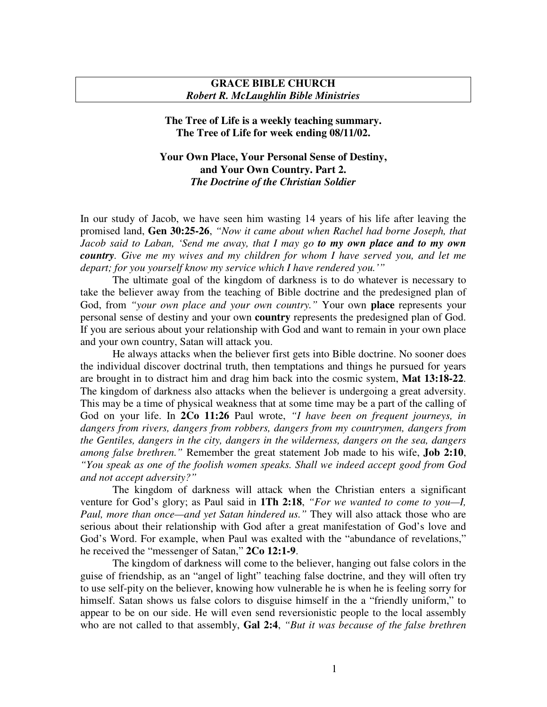## **GRACE BIBLE CHURCH** *Robert R. McLaughlin Bible Ministries*

## **The Tree of Life is a weekly teaching summary. The Tree of Life for week ending 08/11/02.**

## **Your Own Place, Your Personal Sense of Destiny, and Your Own Country. Part 2.** *The Doctrine of the Christian Soldier*

In our study of Jacob, we have seen him wasting 14 years of his life after leaving the promised land, **Gen 30:25-26**, *"Now it came about when Rachel had borne Joseph, that Jacob said to Laban, 'Send me away, that I may go to my own place and to my own country. Give me my wives and my children for whom I have served you, and let me depart; for you yourself know my service which I have rendered you.'"*

The ultimate goal of the kingdom of darkness is to do whatever is necessary to take the believer away from the teaching of Bible doctrine and the predesigned plan of God, from *"your own place and your own country."* Your own **place** represents your personal sense of destiny and your own **country** represents the predesigned plan of God. If you are serious about your relationship with God and want to remain in your own place and your own country, Satan will attack you.

He always attacks when the believer first gets into Bible doctrine. No sooner does the individual discover doctrinal truth, then temptations and things he pursued for years are brought in to distract him and drag him back into the cosmic system, **Mat 13:18-22**. The kingdom of darkness also attacks when the believer is undergoing a great adversity. This may be a time of physical weakness that at some time may be a part of the calling of God on your life. In **2Co 11:26** Paul wrote, *"I have been on frequent journeys, in dangers from rivers, dangers from robbers, dangers from my countrymen, dangers from the Gentiles, dangers in the city, dangers in the wilderness, dangers on the sea, dangers among false brethren."* Remember the great statement Job made to his wife, **Job 2:10**, *"You speak as one of the foolish women speaks. Shall we indeed accept good from God and not accept adversity?"*

The kingdom of darkness will attack when the Christian enters a significant venture for God's glory; as Paul said in **1Th 2:18**, *"For we wanted to come to you—I, Paul, more than once—and yet Satan hindered us."* They will also attack those who are serious about their relationship with God after a great manifestation of God's love and God's Word. For example, when Paul was exalted with the "abundance of revelations," he received the "messenger of Satan," **2Co 12:1-9**.

The kingdom of darkness will come to the believer, hanging out false colors in the guise of friendship, as an "angel of light" teaching false doctrine, and they will often try to use self-pity on the believer, knowing how vulnerable he is when he is feeling sorry for himself. Satan shows us false colors to disguise himself in the a "friendly uniform," to appear to be on our side. He will even send reversionistic people to the local assembly who are not called to that assembly, **Gal 2:4**, *"But it was because of the false brethren*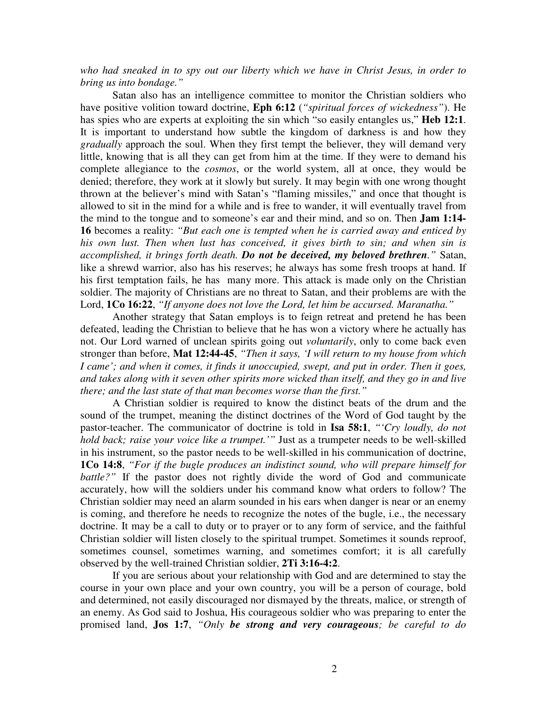*who had sneaked in to spy out our liberty which we have in Christ Jesus, in order to bring us into bondage."*

Satan also has an intelligence committee to monitor the Christian soldiers who have positive volition toward doctrine, **Eph 6:12** (*"spiritual forces of wickedness"*). He has spies who are experts at exploiting the sin which "so easily entangles us," **Heb 12:1**. It is important to understand how subtle the kingdom of darkness is and how they *gradually* approach the soul. When they first tempt the believer, they will demand very little, knowing that is all they can get from him at the time. If they were to demand his complete allegiance to the *cosmos*, or the world system, all at once, they would be denied; therefore, they work at it slowly but surely. It may begin with one wrong thought thrown at the believer's mind with Satan's "flaming missiles," and once that thought is allowed to sit in the mind for a while and is free to wander, it will eventually travel from the mind to the tongue and to someone's ear and their mind, and so on. Then **Jam 1:14- 16** becomes a reality: *"But each one is tempted when he is carried away and enticed by his own lust. Then when lust has conceived, it gives birth to sin; and when sin is accomplished, it brings forth death. Do not be deceived, my beloved brethren."* Satan, like a shrewd warrior, also has his reserves; he always has some fresh troops at hand. If his first temptation fails, he has many more. This attack is made only on the Christian soldier. The majority of Christians are no threat to Satan, and their problems are with the Lord, **1Co 16:22**, *"If anyone does not love the Lord, let him be accursed. Maranatha."*

Another strategy that Satan employs is to feign retreat and pretend he has been defeated, leading the Christian to believe that he has won a victory where he actually has not. Our Lord warned of unclean spirits going out *voluntarily*, only to come back even stronger than before, **Mat 12:44-45**, *"Then it says, 'I will return to my house from which I came'; and when it comes, it finds it unoccupied, swept, and put in order. Then it goes, and takes along with it seven other spirits more wicked than itself, and they go in and live there; and the last state of that man becomes worse than the first."*

A Christian soldier is required to know the distinct beats of the drum and the sound of the trumpet, meaning the distinct doctrines of the Word of God taught by the pastor-teacher. The communicator of doctrine is told in **Isa 58:1**, *"'Cry loudly, do not hold back; raise your voice like a trumpet.'"* Just as a trumpeter needs to be well-skilled in his instrument, so the pastor needs to be well-skilled in his communication of doctrine, **1Co 14:8**, *"For if the bugle produces an indistinct sound, who will prepare himself for battle?*" If the pastor does not rightly divide the word of God and communicate accurately, how will the soldiers under his command know what orders to follow? The Christian soldier may need an alarm sounded in his ears when danger is near or an enemy is coming, and therefore he needs to recognize the notes of the bugle, i.e., the necessary doctrine. It may be a call to duty or to prayer or to any form of service, and the faithful Christian soldier will listen closely to the spiritual trumpet. Sometimes it sounds reproof, sometimes counsel, sometimes warning, and sometimes comfort; it is all carefully observed by the well-trained Christian soldier, **2Ti 3:16-4:2**.

If you are serious about your relationship with God and are determined to stay the course in your own place and your own country, you will be a person of courage, bold and determined, not easily discouraged nor dismayed by the threats, malice, or strength of an enemy. As God said to Joshua, His courageous soldier who was preparing to enter the promised land, **Jos 1:7**, *"Only be strong and very courageous; be careful to do*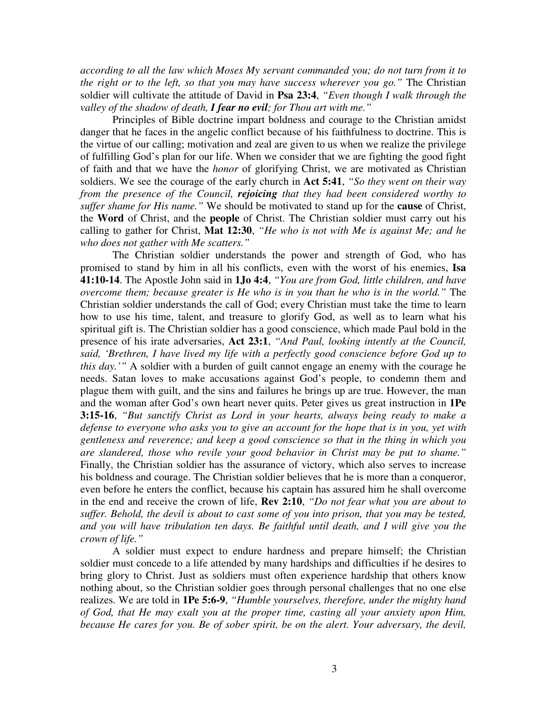*according to all the law which Moses My servant commanded you; do not turn from it to the right or to the left, so that you may have success wherever you go."* The Christian soldier will cultivate the attitude of David in **Psa 23:4**, *"Even though I walk through the valley of the shadow of death, I fear no evil; for Thou art with me."*

Principles of Bible doctrine impart boldness and courage to the Christian amidst danger that he faces in the angelic conflict because of his faithfulness to doctrine. This is the virtue of our calling; motivation and zeal are given to us when we realize the privilege of fulfilling God's plan for our life. When we consider that we are fighting the good fight of faith and that we have the *honor* of glorifying Christ, we are motivated as Christian soldiers. We see the courage of the early church in **Act 5:41**, *"So they went on their way from the presence of the Council, rejoicing that they had been considered worthy to suffer shame for His name."* We should be motivated to stand up for the **cause** of Christ, the **Word** of Christ, and the **people** of Christ. The Christian soldier must carry out his calling to gather for Christ, **Mat 12:30**, *"He who is not with Me is against Me; and he who does not gather with Me scatters."*

The Christian soldier understands the power and strength of God, who has promised to stand by him in all his conflicts, even with the worst of his enemies, **Isa 41:10-14**. The Apostle John said in **1Jo 4:4**, *"You are from God, little children, and have overcome them; because greater is He who is in you than he who is in the world."* The Christian soldier understands the call of God; every Christian must take the time to learn how to use his time, talent, and treasure to glorify God, as well as to learn what his spiritual gift is. The Christian soldier has a good conscience, which made Paul bold in the presence of his irate adversaries, **Act 23:1**, *"And Paul, looking intently at the Council, said, 'Brethren, I have lived my life with a perfectly good conscience before God up to this day.'"* A soldier with a burden of guilt cannot engage an enemy with the courage he needs. Satan loves to make accusations against God's people, to condemn them and plague them with guilt, and the sins and failures he brings up are true. However, the man and the woman after God's own heart never quits. Peter gives us great instruction in **1Pe 3:15-16**, *"But sanctify Christ as Lord in your hearts, always being ready to make a defense to everyone who asks you to give an account for the hope that is in you, yet with gentleness and reverence; and keep a good conscience so that in the thing in which you are slandered, those who revile your good behavior in Christ may be put to shame."* Finally, the Christian soldier has the assurance of victory, which also serves to increase his boldness and courage. The Christian soldier believes that he is more than a conqueror, even before he enters the conflict, because his captain has assured him he shall overcome in the end and receive the crown of life, **Rev 2:10**, *"Do not fear what you are about to suffer. Behold, the devil is about to cast some of you into prison, that you may be tested, and you will have tribulation ten days. Be faithful until death, and I will give you the crown of life."*

A soldier must expect to endure hardness and prepare himself; the Christian soldier must concede to a life attended by many hardships and difficulties if he desires to bring glory to Christ. Just as soldiers must often experience hardship that others know nothing about, so the Christian soldier goes through personal challenges that no one else realizes. We are told in **1Pe 5:6-9**, *"Humble yourselves, therefore, under the mighty hand of God, that He may exalt you at the proper time, casting all your anxiety upon Him, because He cares for you. Be of sober spirit, be on the alert. Your adversary, the devil,*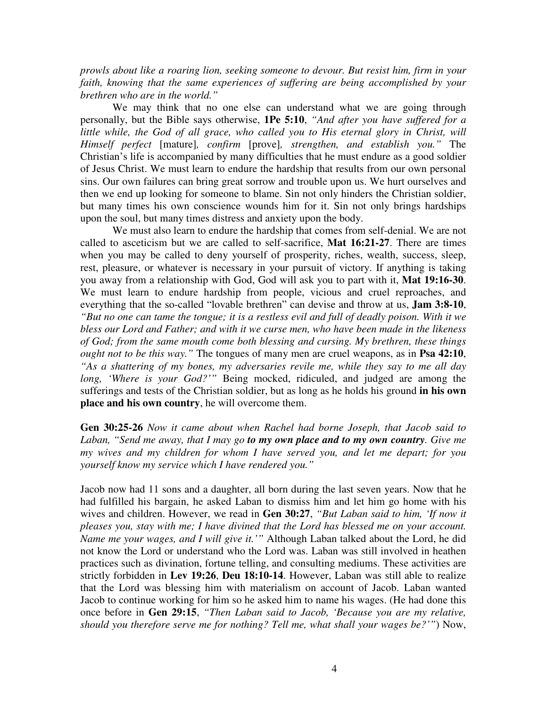*prowls about like a roaring lion, seeking someone to devour. But resist him, firm in your faith, knowing that the same experiences of suffering are being accomplished by your brethren who are in the world."*

We may think that no one else can understand what we are going through personally, but the Bible says otherwise, **1Pe 5:10**, *"And after you have suffered for a little while, the God of all grace, who called you to His eternal glory in Christ, will Himself perfect* [mature]*, confirm* [prove]*, strengthen, and establish you."* The Christian's life is accompanied by many difficulties that he must endure as a good soldier of Jesus Christ. We must learn to endure the hardship that results from our own personal sins. Our own failures can bring great sorrow and trouble upon us. We hurt ourselves and then we end up looking for someone to blame. Sin not only hinders the Christian soldier, but many times his own conscience wounds him for it. Sin not only brings hardships upon the soul, but many times distress and anxiety upon the body.

We must also learn to endure the hardship that comes from self-denial. We are not called to asceticism but we are called to self-sacrifice, **Mat 16:21-27**. There are times when you may be called to deny yourself of prosperity, riches, wealth, success, sleep, rest, pleasure, or whatever is necessary in your pursuit of victory. If anything is taking you away from a relationship with God, God will ask you to part with it, **Mat 19:16-30**. We must learn to endure hardship from people, vicious and cruel reproaches, and everything that the so-called "lovable brethren" can devise and throw at us, **Jam 3:8-10**, "But no one can tame the tongue; it is a restless evil and full of deadly poison. With it we *bless our Lord and Father; and with it we curse men, who have been made in the likeness of God; from the same mouth come both blessing and cursing. My brethren, these things ought not to be this way."* The tongues of many men are cruel weapons, as in **Psa 42:10**, *"As a shattering of my bones, my adversaries revile me, while they say to me all day long, 'Where is your God?'"* Being mocked, ridiculed, and judged are among the sufferings and tests of the Christian soldier, but as long as he holds his ground **in his own place and his own country**, he will overcome them.

**Gen 30:25-26** *Now it came about when Rachel had borne Joseph, that Jacob said to Laban, "Send me away, that I may go to my own place and to my own country. Give me my wives and my children for whom I have served you, and let me depart; for you yourself know my service which I have rendered you."*

Jacob now had 11 sons and a daughter, all born during the last seven years. Now that he had fulfilled his bargain, he asked Laban to dismiss him and let him go home with his wives and children. However, we read in **Gen 30:27**, *"But Laban said to him, 'If now it pleases you, stay with me; I have divined that the Lord has blessed me on your account. Name me your wages, and I will give it.'"* Although Laban talked about the Lord, he did not know the Lord or understand who the Lord was. Laban was still involved in heathen practices such as divination, fortune telling, and consulting mediums. These activities are strictly forbidden in **Lev 19:26**, **Deu 18:10-14**. However, Laban was still able to realize that the Lord was blessing him with materialism on account of Jacob. Laban wanted Jacob to continue working for him so he asked him to name his wages. (He had done this once before in **Gen 29:15**, *"Then Laban said to Jacob, 'Because you are my relative, should you therefore serve me for nothing? Tell me, what shall your wages be?'"*) Now,